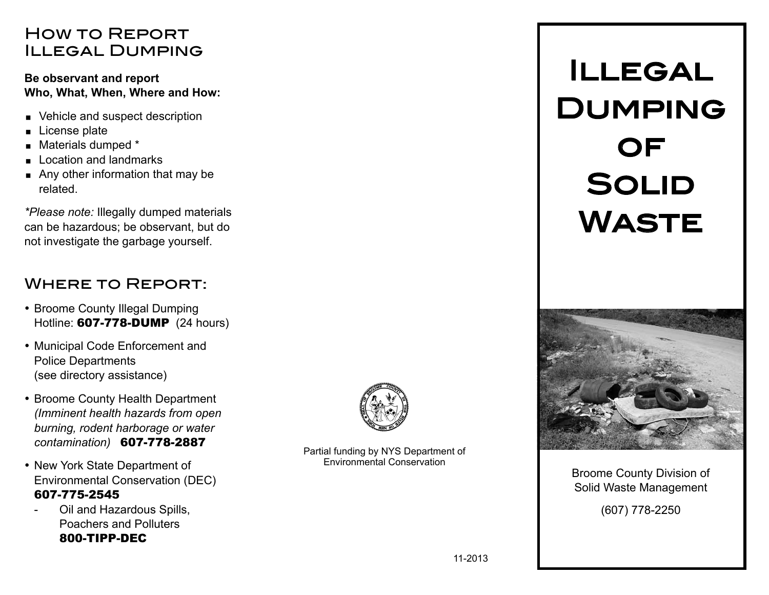### How to Report Illegal Dumping

#### **Be observant and report Who, What, When, Where and How:**

- Vehicle and suspect description
- License plate
- Materials dumped \*
- Location and landmarks
- Any other information that may be related.

*\*Please note:* Illegally dumped materials can be hazardous; be observant, but do not investigate the garbage yourself.

### Where to Report:

- Broome County Illegal Dumping Hotline: 607-778-DUMP (24 hours)
- Municipal Code Enforcement and Police Departments (see directory assistance)
- Broome County Health Department *(Imminent health hazards from open burning, rodent harborage or water contamination)* 607-778-2887
- New York State Department of Environmental Conservation (DEC) 607-775-2545
	- Oil and Hazardous Spills, Poachers and Polluters 800-TIPP-DEC



Partial funding by NYS Department of Environmental Conservation

# Illegal Dumping **OF SOLID WASTE**



Broome County Division of Solid Waste Management (607) 778-2250